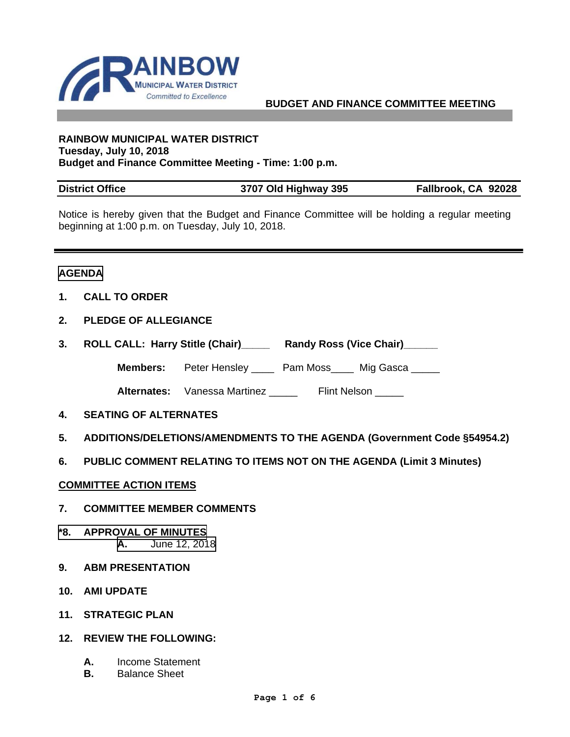

### **BUDGET AND FINANCE COMMITTEE MEETING**

#### **RAINBOW MUNICIPAL WATER DISTRICT Tuesday, July 10, 2018 Budget and Finance Committee Meeting - Time: 1:00 p.m.**

| <b>District Office</b> | 3707 Old Highway 395 | Fallbrook, CA 92028 |
|------------------------|----------------------|---------------------|

Notice is hereby given that the Budget and Finance Committee will be holding a regular meeting beginning at 1:00 p.m. on Tuesday, July 10, 2018.

#### **AGENDA**

- **1. CALL TO ORDER**
- **2. PLEDGE OF ALLEGIANCE**
- **3. ROLL CALL: Harry Stitle (Chair)\_\_\_\_\_ Randy Ross (Vice Chair)\_\_\_\_\_\_**

**Members:** Peter Hensley \_\_\_\_ Pam Moss\_\_\_\_ Mig Gasca \_\_\_\_\_

Alternates: Vanessa Martinez \_\_\_\_\_ Flint Nelson \_\_\_\_\_

- **4. SEATING OF ALTERNATES**
- **5. ADDITIONS/DELETIONS/AMENDMENTS TO THE AGENDA (Government Code §54954.2)**
- **6. PUBLIC COMMENT RELATING TO ITEMS NOT ON THE AGENDA (Limit 3 Minutes)**
- **COMMITTEE ACTION ITEMS**
- **7. COMMITTEE MEMBER COMMENTS**
- **\*8. APPROVAL OF MINUTES A.** [June 12, 2018](#page-2-0)
- **9. ABM PRESENTATION**
- **10. AMI UPDATE**
- **11. STRATEGIC PLAN**
- **12. REVIEW THE FOLLOWING:** 
	- **A.** Income Statement
	- **B.** Balance Sheet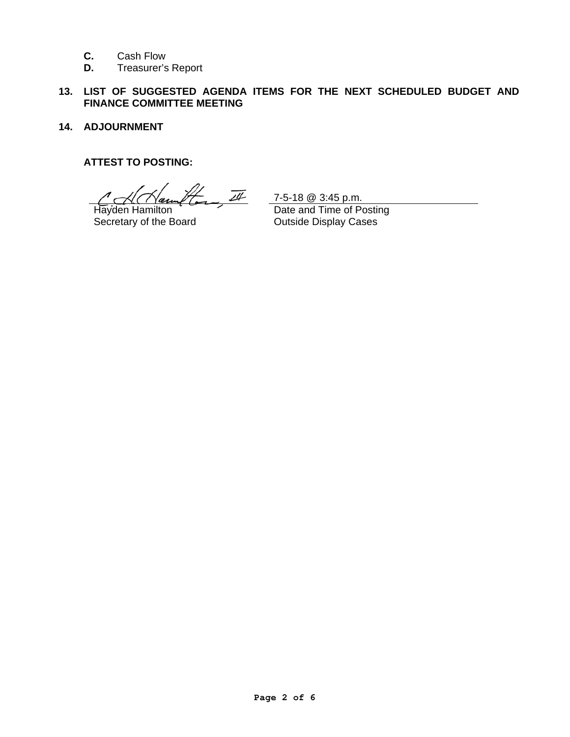- **C.** Cash Flow
- **D.** Treasurer's Report

# **13. LIST OF SUGGESTED AGENDA ITEMS FOR THE NEXT SCHEDULED BUDGET AND FINANCE COMMITTEE MEETING**

**14. ADJOURNMENT** 

### **ATTEST TO POSTING:**

 $\mathcal{H}_{\overline{22}}$   $\overline{\mathcal{U}}$  7-5-18 @ 3:45 p.m.

Hayden Hamilton Secretary of the Board

 Date and Time of Posting Outside Display Cases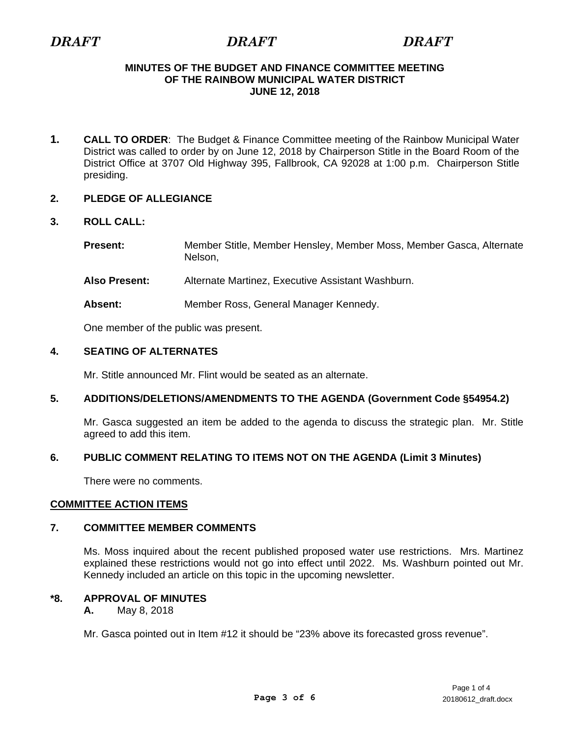# <span id="page-2-0"></span>*DRAFT DRAFT DRAFT*

### **MINUTES OF THE BUDGET AND FINANCE COMMITTEE MEETING OF THE RAINBOW MUNICIPAL WATER DISTRICT JUNE 12, 2018**

**1. CALL TO ORDER**: The Budget & Finance Committee meeting of the Rainbow Municipal Water District was called to order by on June 12, 2018 by Chairperson Stitle in the Board Room of the District Office at 3707 Old Highway 395, Fallbrook, CA 92028 at 1:00 p.m. Chairperson Stitle presiding.

# **2. PLEDGE OF ALLEGIANCE**

# **3. ROLL CALL:**

**Present:** Member Stitle, Member Hensley, Member Moss, Member Gasca, Alternate Nelson,

**Also Present:** Alternate Martinez, Executive Assistant Washburn.

**Absent:** Member Ross, General Manager Kennedy.

One member of the public was present.

# **4. SEATING OF ALTERNATES**

Mr. Stitle announced Mr. Flint would be seated as an alternate.

# **5. ADDITIONS/DELETIONS/AMENDMENTS TO THE AGENDA (Government Code §54954.2)**

 Mr. Gasca suggested an item be added to the agenda to discuss the strategic plan. Mr. Stitle agreed to add this item.

# **6. PUBLIC COMMENT RELATING TO ITEMS NOT ON THE AGENDA (Limit 3 Minutes)**

There were no comments.

# **COMMITTEE ACTION ITEMS**

# **7. COMMITTEE MEMBER COMMENTS**

 Ms. Moss inquired about the recent published proposed water use restrictions. Mrs. Martinez explained these restrictions would not go into effect until 2022. Ms. Washburn pointed out Mr. Kennedy included an article on this topic in the upcoming newsletter.

# **\*8. APPROVAL OF MINUTES**

 **A.** May 8, 2018

Mr. Gasca pointed out in Item #12 it should be "23% above its forecasted gross revenue".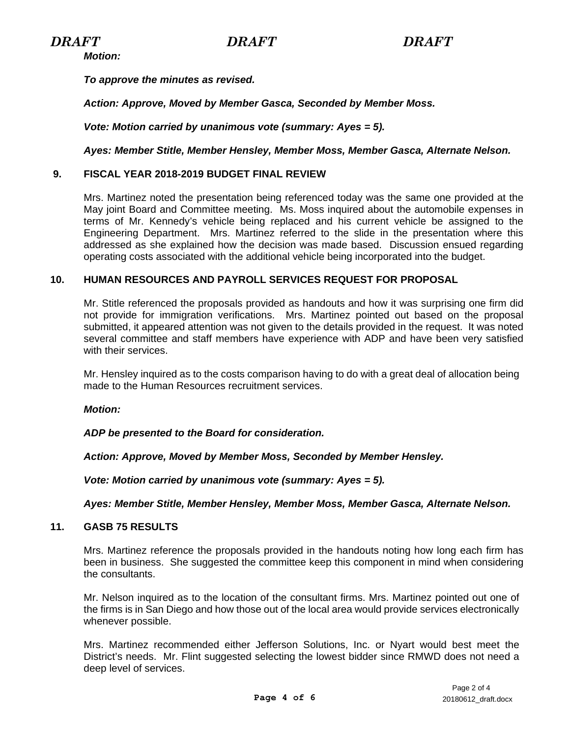*Motion:* 

*To approve the minutes as revised.* 

*Action: Approve, Moved by Member Gasca, Seconded by Member Moss.* 

 *Vote: Motion carried by unanimous vote (summary: Ayes = 5).* 

*Ayes: Member Stitle, Member Hensley, Member Moss, Member Gasca, Alternate Nelson.* 

# **9. FISCAL YEAR 2018-2019 BUDGET FINAL REVIEW**

 Mrs. Martinez noted the presentation being referenced today was the same one provided at the May joint Board and Committee meeting. Ms. Moss inquired about the automobile expenses in terms of Mr. Kennedy's vehicle being replaced and his current vehicle be assigned to the Engineering Department. Mrs. Martinez referred to the slide in the presentation where this addressed as she explained how the decision was made based. Discussion ensued regarding operating costs associated with the additional vehicle being incorporated into the budget.

# **10. HUMAN RESOURCES AND PAYROLL SERVICES REQUEST FOR PROPOSAL**

 Mr. Stitle referenced the proposals provided as handouts and how it was surprising one firm did not provide for immigration verifications. Mrs. Martinez pointed out based on the proposal submitted, it appeared attention was not given to the details provided in the request. It was noted several committee and staff members have experience with ADP and have been very satisfied with their services.

Mr. Hensley inquired as to the costs comparison having to do with a great deal of allocation being made to the Human Resources recruitment services.

#### *Motion:*

*ADP be presented to the Board for consideration.* 

*Action: Approve, Moved by Member Moss, Seconded by Member Hensley.* 

*Vote: Motion carried by unanimous vote (summary: Ayes = 5).* 

*Ayes: Member Stitle, Member Hensley, Member Moss, Member Gasca, Alternate Nelson.*

#### **11. GASB 75 RESULTS**

 Mrs. Martinez reference the proposals provided in the handouts noting how long each firm has been in business. She suggested the committee keep this component in mind when considering the consultants.

Mr. Nelson inquired as to the location of the consultant firms. Mrs. Martinez pointed out one of the firms is in San Diego and how those out of the local area would provide services electronically whenever possible.

Mrs. Martinez recommended either Jefferson Solutions, Inc. or Nyart would best meet the District's needs. Mr. Flint suggested selecting the lowest bidder since RMWD does not need a deep level of services.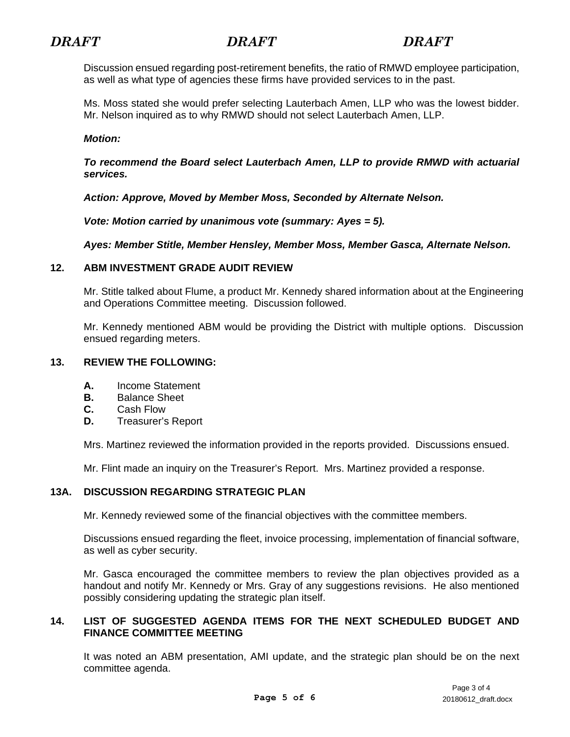Discussion ensued regarding post-retirement benefits, the ratio of RMWD employee participation, as well as what type of agencies these firms have provided services to in the past.

Ms. Moss stated she would prefer selecting Lauterbach Amen, LLP who was the lowest bidder. Mr. Nelson inquired as to why RMWD should not select Lauterbach Amen, LLP.

### *Motion:*

*To recommend the Board select Lauterbach Amen, LLP to provide RMWD with actuarial services.* 

*Action: Approve, Moved by Member Moss, Seconded by Alternate Nelson.* 

*Vote: Motion carried by unanimous vote (summary: Ayes = 5).* 

*Ayes: Member Stitle, Member Hensley, Member Moss, Member Gasca, Alternate Nelson.* 

# **12. ABM INVESTMENT GRADE AUDIT REVIEW**

 Mr. Stitle talked about Flume, a product Mr. Kennedy shared information about at the Engineering and Operations Committee meeting. Discussion followed.

Mr. Kennedy mentioned ABM would be providing the District with multiple options. Discussion ensued regarding meters.

#### **13. REVIEW THE FOLLOWING:**

- **A.** Income Statement
- **B.** Balance Sheet
- **C.** Cash Flow
- **D.** Treasurer's Report

Mrs. Martinez reviewed the information provided in the reports provided. Discussions ensued.

Mr. Flint made an inquiry on the Treasurer's Report. Mrs. Martinez provided a response.

# **13A. DISCUSSION REGARDING STRATEGIC PLAN**

Mr. Kennedy reviewed some of the financial objectives with the committee members.

Discussions ensued regarding the fleet, invoice processing, implementation of financial software, as well as cyber security.

Mr. Gasca encouraged the committee members to review the plan objectives provided as a handout and notify Mr. Kennedy or Mrs. Gray of any suggestions revisions. He also mentioned possibly considering updating the strategic plan itself.

# **14. LIST OF SUGGESTED AGENDA ITEMS FOR THE NEXT SCHEDULED BUDGET AND FINANCE COMMITTEE MEETING**

It was noted an ABM presentation, AMI update, and the strategic plan should be on the next committee agenda.